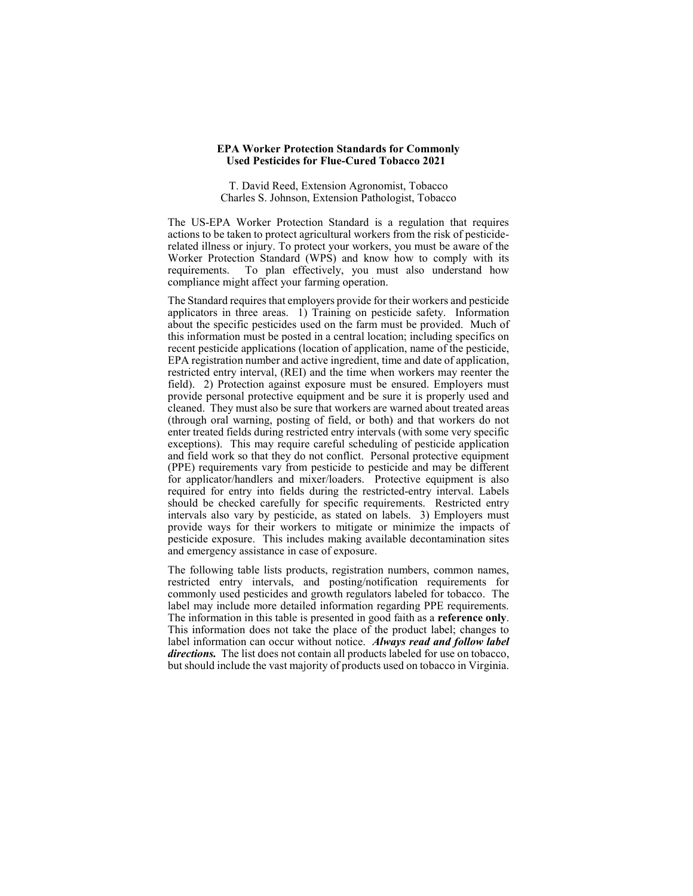#### **EPA Worker Protection Standards for Commonly Used Pesticides for Flue-Cured Tobacco 2021**

T. David Reed, Extension Agronomist, Tobacco Charles S. Johnson, Extension Pathologist, Tobacco

The US-EPA Worker Protection Standard is a regulation that requires actions to be taken to protect agricultural workers from the risk of pesticiderelated illness or injury. To protect your workers, you must be aware of the Worker Protection Standard (WPS) and know how to comply with its requirements. To plan effectively, you must also understand how compliance might affect your farming operation.

The Standard requires that employers provide for their workers and pesticide applicators in three areas. 1) Training on pesticide safety. Information about the specific pesticides used on the farm must be provided. Much of this information must be posted in a central location; including specifics on recent pesticide applications (location of application, name of the pesticide, EPA registration number and active ingredient, time and date of application, restricted entry interval, (REI) and the time when workers may reenter the field). 2) Protection against exposure must be ensured. Employers must provide personal protective equipment and be sure it is properly used and cleaned. They must also be sure that workers are warned about treated areas (through oral warning, posting of field, or both) and that workers do not enter treated fields during restricted entry intervals (with some very specific exceptions). This may require careful scheduling of pesticide application and field work so that they do not conflict. Personal protective equipment (PPE) requirements vary from pesticide to pesticide and may be different for applicator/handlers and mixer/loaders. Protective equipment is also required for entry into fields during the restricted-entry interval. Labels should be checked carefully for specific requirements. Restricted entry intervals also vary by pesticide, as stated on labels. 3) Employers must provide ways for their workers to mitigate or minimize the impacts of pesticide exposure. This includes making available decontamination sites and emergency assistance in case of exposure.

The following table lists products, registration numbers, common names, restricted entry intervals, and posting/notification requirements for commonly used pesticides and growth regulators labeled for tobacco. The label may include more detailed information regarding PPE requirements. The information in this table is presented in good faith as a **reference only**. This information does not take the place of the product label; changes to label information can occur without notice. *Always read and follow label directions.* The list does not contain all products labeled for use on tobacco, but should include the vast majority of products used on tobacco in Virginia.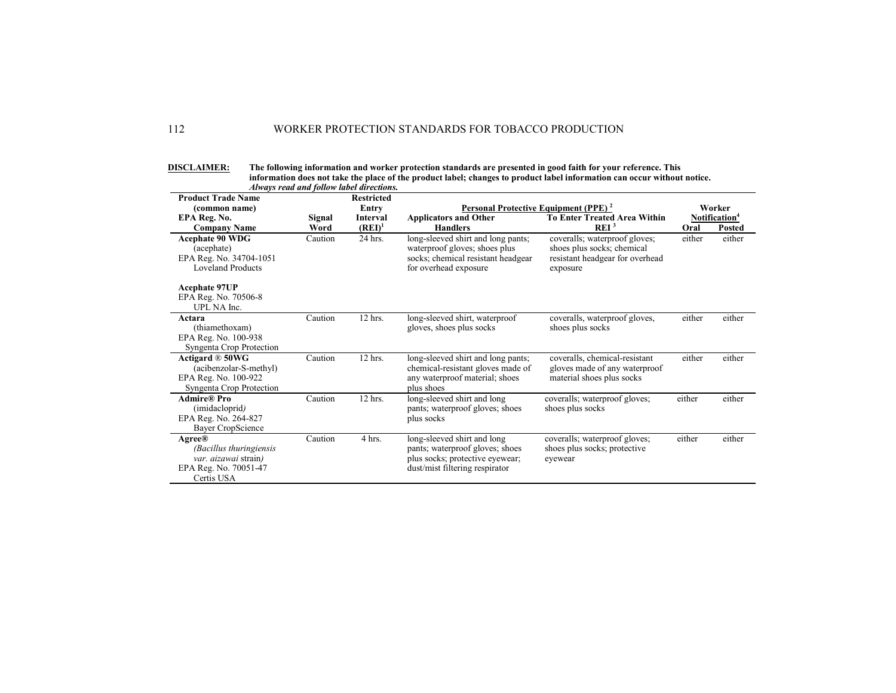| <b>DISCLAIMER:</b> | The following information and worker protection standards are presented in good faith for your reference. This           |
|--------------------|--------------------------------------------------------------------------------------------------------------------------|
|                    | information does not take the place of the product label; changes to product label information can occur without notice. |
|                    | Always read and follow label directions.                                                                                 |

| <b>Product Trade Name</b>                                                                                |         | Atways reau and jouow label atrections. |                                                                                                                                     |                                                                                                            |        |                                     |
|----------------------------------------------------------------------------------------------------------|---------|-----------------------------------------|-------------------------------------------------------------------------------------------------------------------------------------|------------------------------------------------------------------------------------------------------------|--------|-------------------------------------|
| (common name)<br>EPA Reg. No.                                                                            | Signal  | <b>Restricted</b><br>Entry<br>Interval  | Personal Protective Equipment (PPE) <sup>2</sup><br><b>Applicators and Other</b>                                                    | <b>To Enter Treated Area Within</b>                                                                        |        | Worker<br>Notification <sup>4</sup> |
| <b>Company Name</b>                                                                                      | Word    | $(REI)^1$                               | <b>Handlers</b>                                                                                                                     | REI <sup>3</sup>                                                                                           | Oral   | <b>Posted</b>                       |
| <b>Acephate 90 WDG</b><br>(acephate)<br>EPA Reg. No. 34704-1051<br><b>Loveland Products</b>              | Caution | 24 hrs.                                 | long-sleeved shirt and long pants;<br>waterproof gloves; shoes plus<br>socks; chemical resistant headgear<br>for overhead exposure  | coveralls; waterproof gloves;<br>shoes plus socks; chemical<br>resistant headgear for overhead<br>exposure | either | either                              |
| <b>Acephate 97UP</b><br>EPA Reg. No. 70506-8<br>UPL NA Inc.                                              |         |                                         |                                                                                                                                     |                                                                                                            |        |                                     |
| Actara<br>(thiamethoxam)<br>EPA Reg. No. 100-938<br>Syngenta Crop Protection                             | Caution | 12 hrs.                                 | long-sleeved shirt, waterproof<br>gloves, shoes plus socks                                                                          | coveralls, waterproof gloves,<br>shoes plus socks                                                          | either | either                              |
| Actigard $\mathbb{R}$ 50WG<br>(acibenzolar-S-methyl)<br>EPA Reg. No. 100-922<br>Syngenta Crop Protection | Caution | 12 hrs.                                 | long-sleeved shirt and long pants;<br>chemical-resistant gloves made of<br>any waterproof material; shoes<br>plus shoes             | coveralls, chemical-resistant<br>gloves made of any waterproof<br>material shoes plus socks                | either | either                              |
| <b>Admire®</b> Pro<br>(imidacloprid)<br>EPA Reg. No. 264-827<br>Bayer CropScience                        | Caution | 12 hrs.                                 | long-sleeved shirt and long<br>pants; waterproof gloves; shoes<br>plus socks                                                        | coveralls; waterproof gloves;<br>shoes plus socks                                                          | either | either                              |
| <b>Agree®</b><br>(Bacillus thuringiensis<br>var. aizawai strain)<br>EPA Reg. No. 70051-47<br>Certis USA  | Caution | 4 hrs.                                  | long-sleeved shirt and long<br>pants; waterproof gloves; shoes<br>plus socks; protective eyewear;<br>dust/mist filtering respirator | coveralls; waterproof gloves;<br>shoes plus socks; protective<br>eyewear                                   | either | either                              |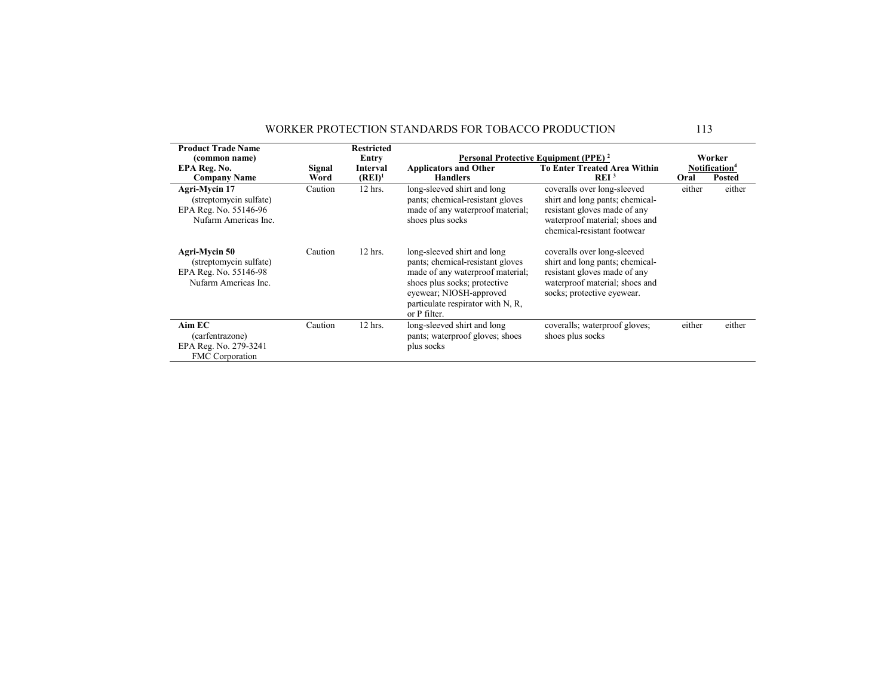| <b>Product Trade Name</b><br>(common name)                                               |                | <b>Restricted</b><br>Entry |                                                                                                                                                                                                                     | Personal Protective Equipment (PPE) <sup>2</sup>                                                                                                                |        | Worker                                     |
|------------------------------------------------------------------------------------------|----------------|----------------------------|---------------------------------------------------------------------------------------------------------------------------------------------------------------------------------------------------------------------|-----------------------------------------------------------------------------------------------------------------------------------------------------------------|--------|--------------------------------------------|
| EPA Reg. No.<br><b>Company Name</b>                                                      | Signal<br>Word | Interval<br>$(RE I)^1$     | <b>Applicators and Other</b><br><b>Handlers</b>                                                                                                                                                                     | <b>To Enter Treated Area Within</b><br>REI <sup>3</sup>                                                                                                         | Oral   | Notification <sup>4</sup><br><b>Posted</b> |
| Agri-Mycin 17<br>(streptomycin sulfate)<br>EPA Reg. No. 55146-96<br>Nufarm Americas Inc. | Caution        | 12 hrs.                    | long-sleeved shirt and long<br>pants; chemical-resistant gloves<br>made of any waterproof material;<br>shoes plus socks                                                                                             | coveralls over long-sleeved<br>shirt and long pants; chemical-<br>resistant gloves made of any<br>waterproof material; shoes and<br>chemical-resistant footwear | either | either                                     |
| Agri-Mycin 50<br>(streptomycin sulfate)<br>EPA Reg. No. 55146-98<br>Nufarm Americas Inc. | Caution        | $12$ hrs.                  | long-sleeved shirt and long<br>pants; chemical-resistant gloves<br>made of any waterproof material;<br>shoes plus socks; protective<br>eyewear; NIOSH-approved<br>particulate respirator with N, R,<br>or P filter. | coveralls over long-sleeved<br>shirt and long pants; chemical-<br>resistant gloves made of any<br>waterproof material; shoes and<br>socks; protective eyewear.  |        |                                            |
| $Aim$ $EC$<br>(carfentrazone)<br>EPA Reg. No. 279-3241<br><b>FMC</b> Corporation         | Caution        | 12 hrs.                    | long-sleeved shirt and long<br>pants; waterproof gloves; shoes<br>plus socks                                                                                                                                        | coveralls; waterproof gloves;<br>shoes plus socks                                                                                                               | either | either                                     |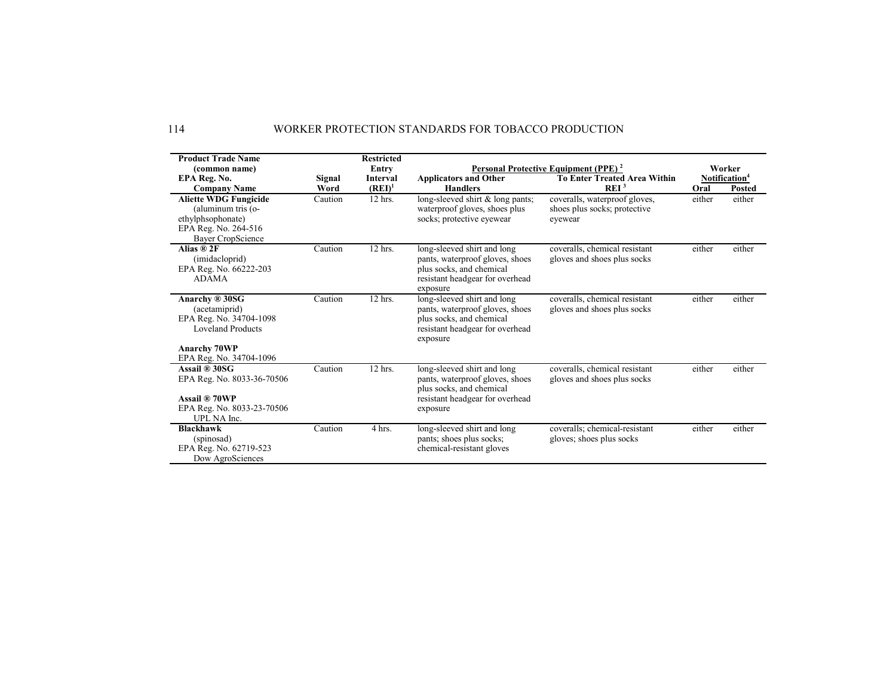| <b>Product Trade Name</b>    |         | <b>Restricted</b> |                                                             |                                                  |        |                           |
|------------------------------|---------|-------------------|-------------------------------------------------------------|--------------------------------------------------|--------|---------------------------|
| (common name)                |         | Entry             |                                                             | Personal Protective Equipment (PPE) <sup>2</sup> |        | Worker                    |
| EPA Reg. No.                 | Signal  | <b>Interval</b>   | <b>Applicators and Other</b>                                | <b>To Enter Treated Area Within</b>              |        | Notification <sup>4</sup> |
| <b>Company Name</b>          | Word    | $(REI)^1$         | <b>Handlers</b>                                             | REI <sup>3</sup>                                 | Oral   | <b>Posted</b>             |
| <b>Aliette WDG Fungicide</b> | Caution | 12 hrs.           | long-sleeved shirt & long pants;                            | coveralls, waterproof gloves,                    | either | either                    |
| (aluminum tris (o-           |         |                   | waterproof gloves, shoes plus                               | shoes plus socks; protective                     |        |                           |
| ethylphsophonate)            |         |                   | socks; protective eyewear                                   | eyewear                                          |        |                           |
| EPA Reg. No. 264-516         |         |                   |                                                             |                                                  |        |                           |
| Bayer CropScience            |         |                   |                                                             |                                                  |        |                           |
| Alias ® 2F                   | Caution | 12 hrs.           | long-sleeved shirt and long                                 | coveralls, chemical resistant                    | either | either                    |
| (imidacloprid)               |         |                   | pants, waterproof gloves, shoes                             | gloves and shoes plus socks                      |        |                           |
| EPA Reg. No. 66222-203       |         |                   | plus socks, and chemical                                    |                                                  |        |                           |
| <b>ADAMA</b>                 |         |                   | resistant headgear for overhead                             |                                                  |        |                           |
|                              |         |                   | exposure                                                    |                                                  |        |                           |
| Anarchy ® 30SG               | Caution | 12 hrs.           | long-sleeved shirt and long                                 | coveralls, chemical resistant                    | either | either                    |
| (acetamiprid)                |         |                   | pants, waterproof gloves, shoes                             | gloves and shoes plus socks                      |        |                           |
| EPA Reg. No. 34704-1098      |         |                   | plus socks, and chemical                                    |                                                  |        |                           |
| <b>Loveland Products</b>     |         |                   | resistant headgear for overhead<br>exposure                 |                                                  |        |                           |
| <b>Anarchy 70WP</b>          |         |                   |                                                             |                                                  |        |                           |
| EPA Reg. No. 34704-1096      |         |                   |                                                             |                                                  |        |                           |
| Assail ® 30SG                | Caution | 12 hrs.           | long-sleeved shirt and long                                 | coveralls, chemical resistant                    | either | either                    |
| EPA Reg. No. 8033-36-70506   |         |                   | pants, waterproof gloves, shoes<br>plus socks, and chemical | gloves and shoes plus socks                      |        |                           |
| Assail ® 70WP                |         |                   | resistant headgear for overhead                             |                                                  |        |                           |
| EPA Reg. No. 8033-23-70506   |         |                   | exposure                                                    |                                                  |        |                           |
| UPL NA Inc.                  |         |                   |                                                             |                                                  |        |                           |
| <b>Blackhawk</b>             | Caution | 4 hrs.            | long-sleeved shirt and long                                 | coveralls: chemical-resistant                    | either | either                    |
| (spinosad)                   |         |                   | pants; shoes plus socks;                                    | gloves; shoes plus socks                         |        |                           |
| EPA Reg. No. 62719-523       |         |                   | chemical-resistant gloves                                   |                                                  |        |                           |
| Dow AgroSciences             |         |                   |                                                             |                                                  |        |                           |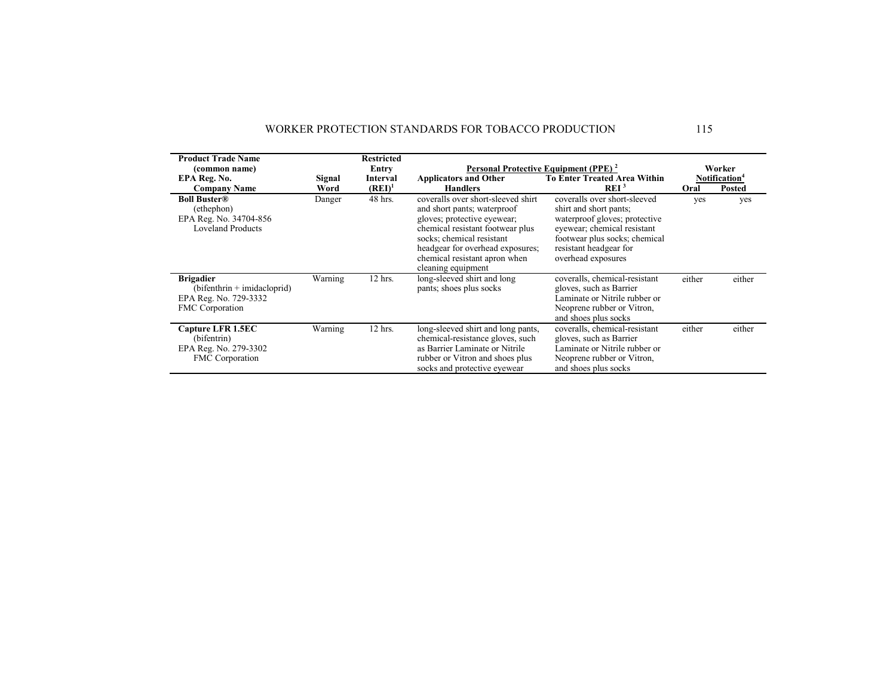| <b>Product Trade Name</b><br>(common name)                                                    |                | <b>Restricted</b><br>Entry |                                                                                                                                                                                                                                                              | Personal Protective Equipment (PPE) <sup>2</sup>                                                                                                                                                        |        | Worker                                     |
|-----------------------------------------------------------------------------------------------|----------------|----------------------------|--------------------------------------------------------------------------------------------------------------------------------------------------------------------------------------------------------------------------------------------------------------|---------------------------------------------------------------------------------------------------------------------------------------------------------------------------------------------------------|--------|--------------------------------------------|
| EPA Reg. No.<br><b>Company Name</b>                                                           | Signal<br>Word | Interval<br>$(REI)^1$      | <b>Applicators and Other</b><br><b>Handlers</b>                                                                                                                                                                                                              | <b>To Enter Treated Area Within</b><br>REI <sup>3</sup>                                                                                                                                                 | Oral   | Notification <sup>4</sup><br><b>Posted</b> |
| <b>Boll Buster®</b><br>(ethephon)<br>EPA Reg. No. 34704-856<br><b>Loveland Products</b>       | Danger         | 48 hrs.                    | coveralls over short-sleeved shirt<br>and short pants; waterproof<br>gloves; protective eyewear;<br>chemical resistant footwear plus<br>socks; chemical resistant<br>headgear for overhead exposures;<br>chemical resistant apron when<br>cleaning equipment | coveralls over short-sleeved<br>shirt and short pants;<br>waterproof gloves; protective<br>eyewear; chemical resistant<br>footwear plus socks; chemical<br>resistant headgear for<br>overhead exposures | yes    | yes                                        |
| <b>Brigadier</b><br>$(bifenthrin + imidacloprid)$<br>EPA Reg. No. 729-3332<br>FMC Corporation | Warning        | 12 hrs.                    | long-sleeved shirt and long<br>pants; shoes plus socks                                                                                                                                                                                                       | coveralls, chemical-resistant<br>gloves, such as Barrier<br>Laminate or Nitrile rubber or<br>Neoprene rubber or Vitron,<br>and shoes plus socks                                                         | either | either                                     |
| Capture LFR 1.5EC<br>(bifentrin)<br>EPA Reg. No. 279-3302<br><b>FMC</b> Corporation           | Warning        | 12 hrs.                    | long-sleeved shirt and long pants.<br>chemical-resistance gloves, such<br>as Barrier Laminate or Nitrile<br>rubber or Vitron and shoes plus<br>socks and protective eyewear                                                                                  | coveralls, chemical-resistant<br>gloves, such as Barrier<br>Laminate or Nitrile rubber or<br>Neoprene rubber or Vitron,<br>and shoes plus socks                                                         | either | either                                     |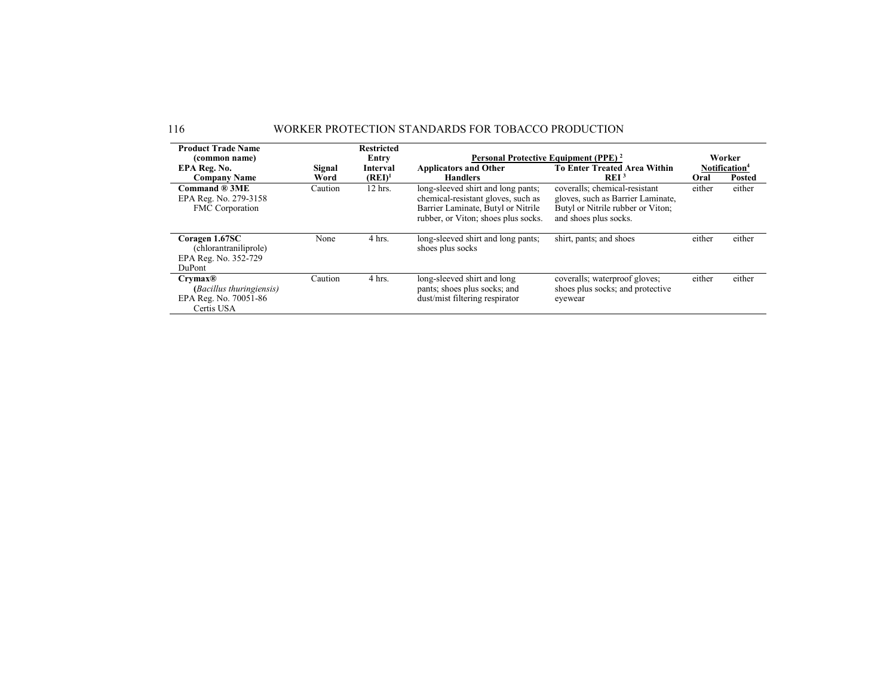| <b>Product Trade Name</b>                                                         |         | <b>Restricted</b> |                                                                                                                                                       |                                                                                                                                  |        |                           |
|-----------------------------------------------------------------------------------|---------|-------------------|-------------------------------------------------------------------------------------------------------------------------------------------------------|----------------------------------------------------------------------------------------------------------------------------------|--------|---------------------------|
| (common name)                                                                     |         | Entry             |                                                                                                                                                       | Personal Protective Equipment (PPE) <sup>2</sup>                                                                                 |        | Worker                    |
| EPA Reg. No.                                                                      | Signal  | Interval          | <b>Applicators and Other</b>                                                                                                                          | <b>To Enter Treated Area Within</b>                                                                                              |        | Notification <sup>4</sup> |
| <b>Company Name</b>                                                               | Word    | $(REI)^1$         | <b>Handlers</b>                                                                                                                                       | REI <sup>3</sup>                                                                                                                 | Oral   | <b>Posted</b>             |
| Command ® 3ME<br>EPA Reg. No. 279-3158<br>FMC Corporation                         | Caution | 12 hrs.           | long-sleeved shirt and long pants;<br>chemical-resistant gloves, such as<br>Barrier Laminate, Butyl or Nitrile<br>rubber, or Viton; shoes plus socks. | coveralls; chemical-resistant<br>gloves, such as Barrier Laminate,<br>Butyl or Nitrile rubber or Viton;<br>and shoes plus socks. | either | either                    |
| Coragen 1.67SC<br>(chlorantraniliprole)<br>EPA Reg. No. 352-729<br>DuPont         | None    | 4 hrs.            | long-sleeved shirt and long pants;<br>shoes plus socks                                                                                                | shirt, pants; and shoes                                                                                                          | either | either                    |
| Crymax@<br><i>(Bacillus thuringiensis)</i><br>EPA Reg. No. 70051-86<br>Certis USA | Caution | 4 hrs.            | long-sleeved shirt and long<br>pants; shoes plus socks; and<br>dust/mist filtering respirator                                                         | coveralls; waterproof gloves;<br>shoes plus socks; and protective<br>eyewear                                                     | either | either                    |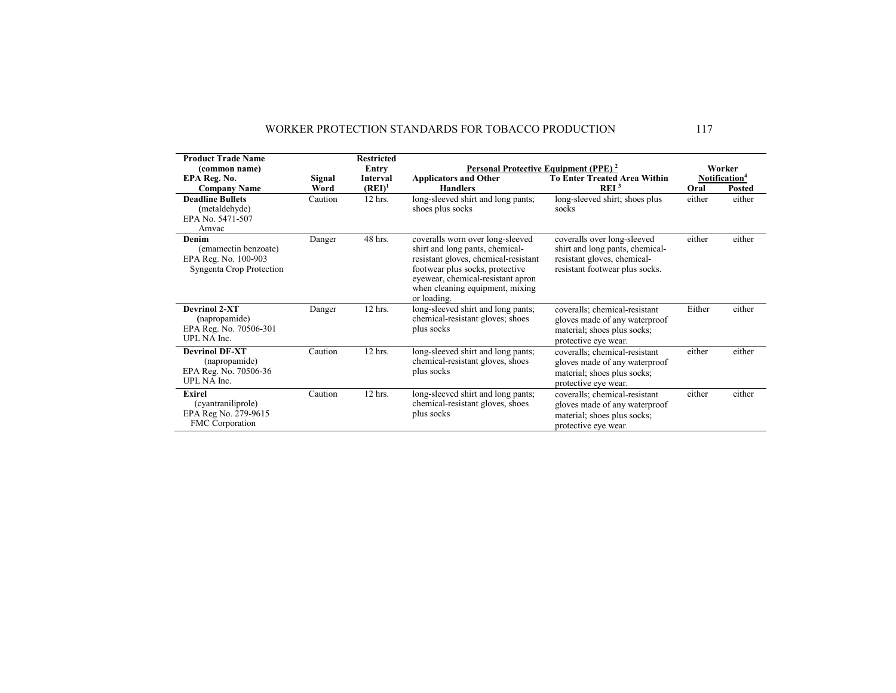| <b>Product Trade Name</b>                                                         |         | <b>Restricted</b> |                                                                                                                                                                                                                                       |                                                                                                                                 |        |                           |
|-----------------------------------------------------------------------------------|---------|-------------------|---------------------------------------------------------------------------------------------------------------------------------------------------------------------------------------------------------------------------------------|---------------------------------------------------------------------------------------------------------------------------------|--------|---------------------------|
| (common name)                                                                     |         | Entry             | Personal Protective Equipment (PPE) <sup>2</sup>                                                                                                                                                                                      |                                                                                                                                 |        | Worker                    |
| EPA Reg. No.                                                                      | Signal  | <b>Interval</b>   | <b>Applicators and Other</b>                                                                                                                                                                                                          | <b>To Enter Treated Area Within</b>                                                                                             |        | Notification <sup>4</sup> |
| <b>Company Name</b>                                                               | Word    | $(REI)^1$         | <b>Handlers</b>                                                                                                                                                                                                                       | REI <sup>3</sup>                                                                                                                | Oral   | <b>Posted</b>             |
| <b>Deadline Bullets</b><br>(metaldehyde)<br>EPA No. 5471-507<br>Amvac             | Caution | $12$ hrs.         | long-sleeved shirt and long pants;<br>shoes plus socks                                                                                                                                                                                | long-sleeved shirt; shoes plus<br>socks                                                                                         | either | either                    |
| Denim<br>(emamectin benzoate)<br>EPA Reg. No. 100-903<br>Syngenta Crop Protection | Danger  | 48 hrs.           | coveralls worn over long-sleeved<br>shirt and long pants, chemical-<br>resistant gloves, chemical-resistant<br>footwear plus socks, protective<br>eyewear, chemical-resistant apron<br>when cleaning equipment, mixing<br>or loading. | coveralls over long-sleeved<br>shirt and long pants, chemical-<br>resistant gloves, chemical-<br>resistant footwear plus socks. | either | either                    |
| <b>Devrinol 2-XT</b><br>(napropamide)<br>EPA Reg. No. 70506-301<br>UPL NA Inc.    | Danger  | 12 hrs.           | long-sleeved shirt and long pants;<br>chemical-resistant gloves; shoes<br>plus socks                                                                                                                                                  | coveralls; chemical-resistant<br>gloves made of any waterproof<br>material; shoes plus socks;<br>protective eye wear.           | Either | either                    |
| <b>Devrinol DF-XT</b><br>(napropamide)<br>EPA Reg. No. 70506-36<br>UPL NA Inc.    | Caution | 12 hrs.           | long-sleeved shirt and long pants;<br>chemical-resistant gloves, shoes<br>plus socks                                                                                                                                                  | coveralls; chemical-resistant<br>gloves made of any waterproof<br>material; shoes plus socks;<br>protective eye wear.           | either | either                    |
| Exirel<br>(cyantraniliprole)<br>EPA Reg No. 279-9615<br><b>FMC</b> Corporation    | Caution | 12 hrs.           | long-sleeved shirt and long pants;<br>chemical-resistant gloves, shoes<br>plus socks                                                                                                                                                  | coveralls; chemical-resistant<br>gloves made of any waterproof<br>material; shoes plus socks;<br>protective eye wear.           | either | either                    |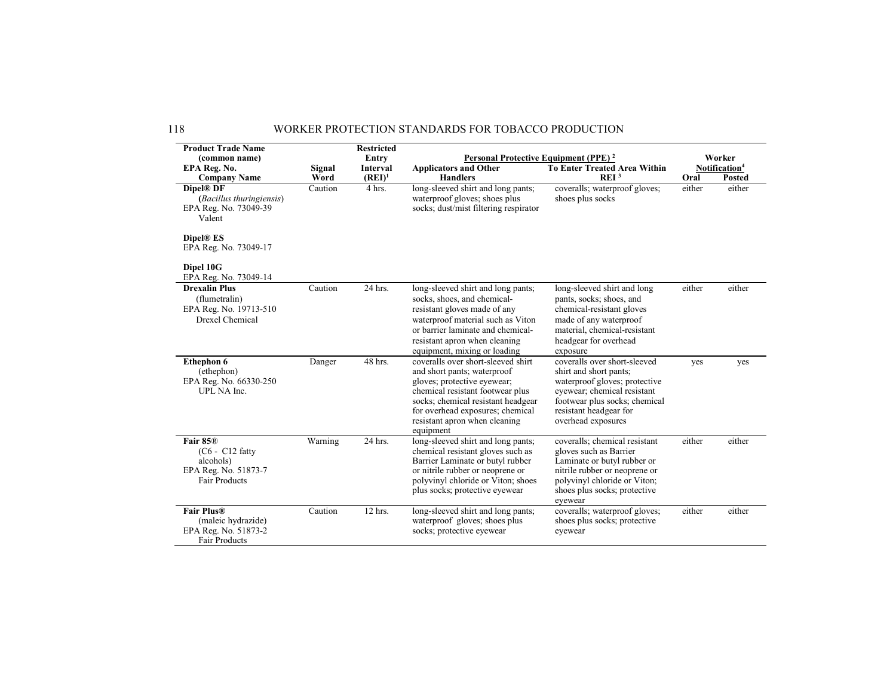| <b>Product Trade Name</b><br>(common name)                                                      |                | <b>Restricted</b><br>Entry | Personal Protective Equipment (PPE) <sup>2</sup>                                                                                                                                                                                                             |                                                                                                                                                                                                         |        | Worker                                     |
|-------------------------------------------------------------------------------------------------|----------------|----------------------------|--------------------------------------------------------------------------------------------------------------------------------------------------------------------------------------------------------------------------------------------------------------|---------------------------------------------------------------------------------------------------------------------------------------------------------------------------------------------------------|--------|--------------------------------------------|
| EPA Reg. No.<br><b>Company Name</b>                                                             | Signal<br>Word | Interval<br>$(REI)^1$      | <b>Applicators and Other</b><br><b>Handlers</b>                                                                                                                                                                                                              | <b>To Enter Treated Area Within</b><br>REI <sup>3</sup>                                                                                                                                                 | Oral   | Notification <sup>4</sup><br><b>Posted</b> |
| Dipel® DF<br>(Bacillus thuringiensis)<br>EPA Reg. No. 73049-39<br>Valent                        | Caution        | $\overline{4}$ hrs.        | long-sleeved shirt and long pants;<br>waterproof gloves; shoes plus<br>socks; dust/mist filtering respirator                                                                                                                                                 | coveralls; waterproof gloves;<br>shoes plus socks                                                                                                                                                       | either | either                                     |
| Dipel® ES<br>EPA Reg. No. 73049-17                                                              |                |                            |                                                                                                                                                                                                                                                              |                                                                                                                                                                                                         |        |                                            |
| Dipel 10G<br>EPA Reg. No. 73049-14                                                              |                |                            |                                                                                                                                                                                                                                                              |                                                                                                                                                                                                         |        |                                            |
| <b>Drexalin Plus</b><br>(flumetralin)<br>EPA Reg. No. 19713-510<br>Drexel Chemical              | Caution        | 24 hrs.                    | long-sleeved shirt and long pants;<br>socks, shoes, and chemical-<br>resistant gloves made of any<br>waterproof material such as Viton<br>or barrier laminate and chemical-<br>resistant apron when cleaning<br>equipment, mixing or loading                 | long-sleeved shirt and long<br>pants, socks; shoes, and<br>chemical-resistant gloves<br>made of any waterproof<br>material, chemical-resistant<br>headgear for overhead<br>exposure                     | either | either                                     |
| <b>Ethephon 6</b><br>(ethephon)<br>EPA Reg. No. 66330-250<br>UPL NA Inc.                        | Danger         | 48 hrs.                    | coveralls over short-sleeved shirt<br>and short pants; waterproof<br>gloves; protective eyewear;<br>chemical resistant footwear plus<br>socks; chemical resistant headgear<br>for overhead exposures; chemical<br>resistant apron when cleaning<br>equipment | coveralls over short-sleeved<br>shirt and short pants;<br>waterproof gloves; protective<br>eyewear; chemical resistant<br>footwear plus socks; chemical<br>resistant headgear for<br>overhead exposures | yes    | yes                                        |
| Fair 85 <sup>®</sup><br>$(C6 - C12$ fatty<br>alcohols)<br>EPA Reg. No. 51873-7<br>Fair Products | Warning        | 24 hrs.                    | long-sleeved shirt and long pants;<br>chemical resistant gloves such as<br>Barrier Laminate or butyl rubber<br>or nitrile rubber or neoprene or<br>polyvinyl chloride or Viton; shoes<br>plus socks; protective eyewear                                      | coveralls; chemical resistant<br>gloves such as Barrier<br>Laminate or butyl rubber or<br>nitrile rubber or neoprene or<br>polyvinyl chloride or Viton;<br>shoes plus socks; protective<br>eyewear      | either | either                                     |
| <b>Fair Plus®</b><br>(maleic hydrazide)<br>EPA Reg. No. 51873-2<br>Fair Products                | Caution        | $12$ hrs.                  | long-sleeved shirt and long pants;<br>waterproof gloves; shoes plus<br>socks; protective eyewear                                                                                                                                                             | coveralls; waterproof gloves;<br>shoes plus socks; protective<br>eyewear                                                                                                                                | either | either                                     |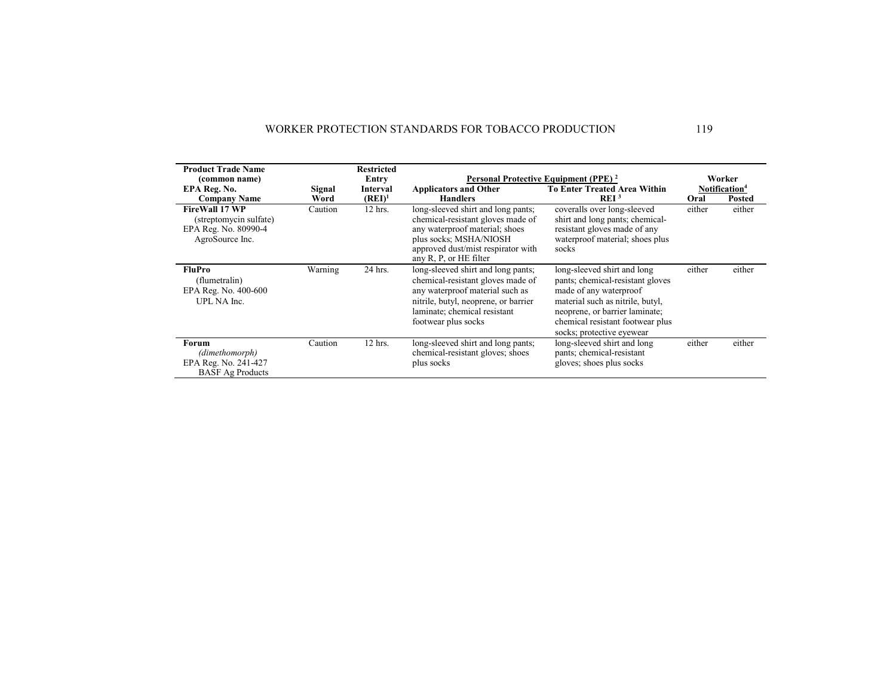| <b>Product Trade Name</b>                                                                  |         | <b>Restricted</b> |                                                                                                                                                                                                           |                                                                                                                                                                                                                                  |        |                           |
|--------------------------------------------------------------------------------------------|---------|-------------------|-----------------------------------------------------------------------------------------------------------------------------------------------------------------------------------------------------------|----------------------------------------------------------------------------------------------------------------------------------------------------------------------------------------------------------------------------------|--------|---------------------------|
| (common name)                                                                              |         | Entry             |                                                                                                                                                                                                           | Personal Protective Equipment (PPE) <sup>2</sup>                                                                                                                                                                                 |        | Worker                    |
| EPA Reg. No.                                                                               | Signal  | Interval          | <b>Applicators and Other</b>                                                                                                                                                                              | <b>To Enter Treated Area Within</b>                                                                                                                                                                                              |        | Notification <sup>4</sup> |
| <b>Company Name</b>                                                                        | Word    | $(REI)^1$         | <b>Handlers</b>                                                                                                                                                                                           | REI <sup>3</sup>                                                                                                                                                                                                                 | Oral   | <b>Posted</b>             |
| <b>FireWall 17 WP</b><br>(streptomycin sulfate)<br>EPA Reg. No. 80990-4<br>AgroSource Inc. | Caution | 12 hrs.           | long-sleeved shirt and long pants;<br>chemical-resistant gloves made of<br>any waterproof material; shoes<br>plus socks; MSHA/NIOSH<br>approved dust/mist respirator with<br>any R, P, or HE filter       | coveralls over long-sleeved<br>shirt and long pants; chemical-<br>resistant gloves made of any<br>waterproof material; shoes plus<br>socks                                                                                       | either | either                    |
| FluPro<br>(flumetralin)<br>EPA Reg. No. 400-600<br>UPL NA Inc.                             | Warning | 24 hrs.           | long-sleeved shirt and long pants;<br>chemical-resistant gloves made of<br>any waterproof material such as<br>nitrile, butyl, neoprene, or barrier<br>laminate; chemical resistant<br>footwear plus socks | long-sleeved shirt and long<br>pants; chemical-resistant gloves<br>made of any waterproof<br>material such as nitrile, butyl,<br>neoprene, or barrier laminate;<br>chemical resistant footwear plus<br>socks; protective eyewear | either | either                    |
| Forum<br>(dimethomorph)<br>EPA Reg. No. 241-427<br><b>BASF</b> Ag Products                 | Caution | 12 hrs.           | long-sleeved shirt and long pants;<br>chemical-resistant gloves; shoes<br>plus socks                                                                                                                      | long-sleeved shirt and long<br>pants; chemical-resistant<br>gloves; shoes plus socks                                                                                                                                             | either | either                    |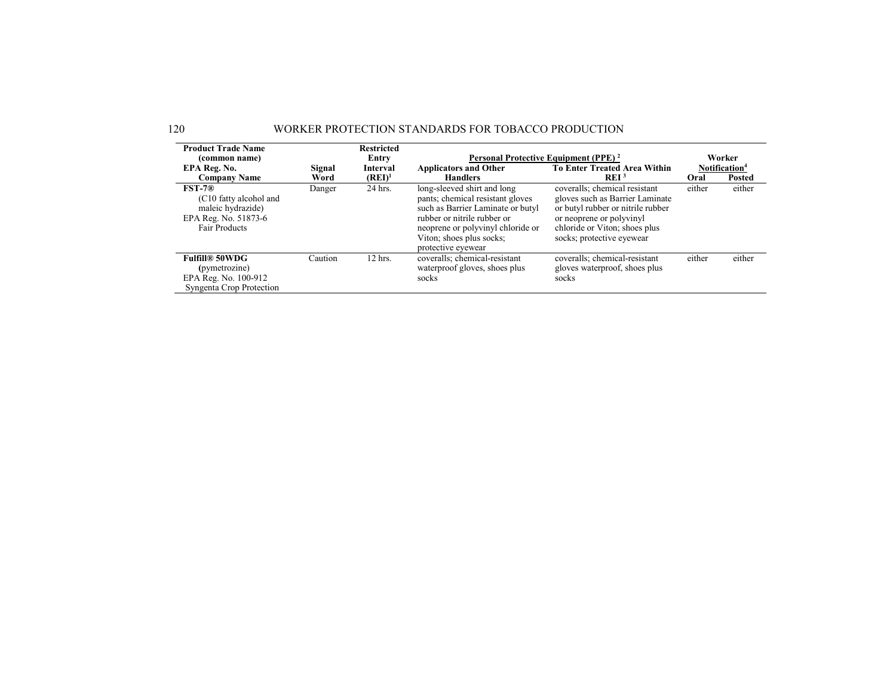| <b>Product Trade Name</b>                                                                                      |         | <b>Restricted</b> |                                                                                                                                                                                                                            |                                                                                                                                                                                                 |        |                           |
|----------------------------------------------------------------------------------------------------------------|---------|-------------------|----------------------------------------------------------------------------------------------------------------------------------------------------------------------------------------------------------------------------|-------------------------------------------------------------------------------------------------------------------------------------------------------------------------------------------------|--------|---------------------------|
| (common name)                                                                                                  |         | Entry             | Personal Protective Equipment (PPE) <sup>2</sup>                                                                                                                                                                           |                                                                                                                                                                                                 |        | Worker                    |
| EPA Reg. No.                                                                                                   | Signal  | <b>Interval</b>   | <b>Applicators and Other</b>                                                                                                                                                                                               | <b>To Enter Treated Area Within</b>                                                                                                                                                             |        | Notification <sup>4</sup> |
| <b>Company Name</b>                                                                                            | Word    | $(REI)^1$         | <b>Handlers</b>                                                                                                                                                                                                            | REI <sup>3</sup>                                                                                                                                                                                | Oral   | <b>Posted</b>             |
| $\text{FST-}7\text{R}$<br>(C10 fatty alcohol and<br>maleic hydrazide)<br>EPA Reg. No. 51873-6<br>Fair Products | Danger  | 24 hrs.           | long-sleeved shirt and long<br>pants; chemical resistant gloves<br>such as Barrier Laminate or butyl<br>rubber or nitrile rubber or<br>neoprene or polyvinyl chloride or<br>Viton; shoes plus socks;<br>protective eyewear | coveralls; chemical resistant<br>gloves such as Barrier Laminate<br>or butyl rubber or nitrile rubber<br>or neoprene or polyvinyl<br>chloride or Viton; shoes plus<br>socks; protective eyewear | either | either                    |
| <b>Fulfill® 50WDG</b><br>(pymetrozine)<br>EPA Reg. No. 100-912<br>Syngenta Crop Protection                     | Caution | $12$ hrs.         | coveralls; chemical-resistant<br>waterproof gloves, shoes plus<br>socks                                                                                                                                                    | coveralls; chemical-resistant<br>gloves waterproof, shoes plus<br>socks                                                                                                                         | either | either                    |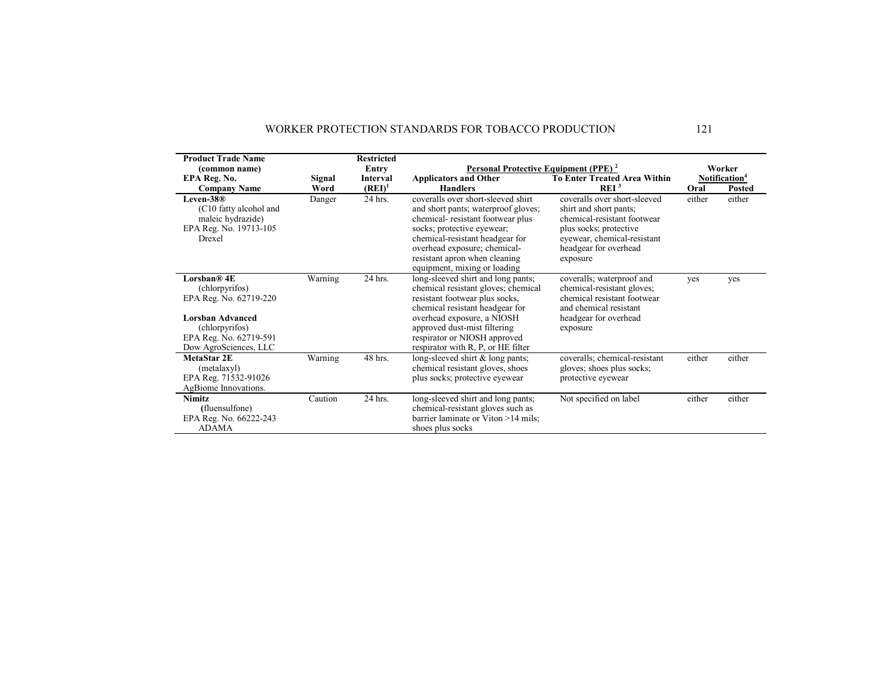| <b>Product Trade Name</b><br>(common name)                                                                                                              |                | <b>Restricted</b><br>Entry   | Personal Protective Equipment (PPE) <sup>2</sup>                                                                                                                                                                                                                                   |                                                                                                                                                                                     |        | Worker                                     |
|---------------------------------------------------------------------------------------------------------------------------------------------------------|----------------|------------------------------|------------------------------------------------------------------------------------------------------------------------------------------------------------------------------------------------------------------------------------------------------------------------------------|-------------------------------------------------------------------------------------------------------------------------------------------------------------------------------------|--------|--------------------------------------------|
| EPA Reg. No.<br><b>Company Name</b>                                                                                                                     | Signal<br>Word | <b>Interval</b><br>$(REI)^1$ | <b>Applicators and Other</b><br><b>Handlers</b>                                                                                                                                                                                                                                    | <b>To Enter Treated Area Within</b><br>REI <sup>3</sup>                                                                                                                             | Oral   | Notification <sup>4</sup><br><b>Posted</b> |
| Leven- $38@$<br>(C10 fatty alcohol and<br>maleic hydrazide)<br>EPA Reg. No. 19713-105<br>Drexel                                                         | Danger         | 24 hrs.                      | coveralls over short-sleeved shirt<br>and short pants; waterproof gloves;<br>chemical-resistant footwear plus<br>socks; protective eyewear;<br>chemical-resistant headgear for<br>overhead exposure; chemical-<br>resistant apron when cleaning<br>equipment, mixing or loading    | coveralls over short-sleeved<br>shirt and short pants;<br>chemical-resistant footwear<br>plus socks; protective<br>eyewear, chemical-resistant<br>headgear for overhead<br>exposure | either | either                                     |
| Lorsban® 4E<br>(chlorpyrifos)<br>EPA Reg. No. 62719-220<br><b>Lorsban Advanced</b><br>(chlorpyrifos)<br>EPA Reg. No. 62719-591<br>Dow AgroSciences, LLC | Warning        | 24 hrs.                      | long-sleeved shirt and long pants;<br>chemical resistant gloves; chemical<br>resistant footwear plus socks,<br>chemical resistant headgear for<br>overhead exposure, a NIOSH<br>approved dust-mist filtering<br>respirator or NIOSH approved<br>respirator with R, P, or HE filter | coveralls; waterproof and<br>chemical-resistant gloves;<br>chemical resistant footwear<br>and chemical resistant<br>headgear for overhead<br>exposure                               | yes    | yes                                        |
| MetaStar 2E<br>(metalaxyl)<br>EPA Reg. 71532-91026<br>AgBiome Innovations.                                                                              | Warning        | 48 hrs.                      | long-sleeved shirt & long pants;<br>chemical resistant gloves, shoes<br>plus socks; protective eyewear                                                                                                                                                                             | coveralls; chemical-resistant<br>gloves; shoes plus socks;<br>protective eyewear                                                                                                    | either | either                                     |
| <b>Nimitz</b><br>(fluensulfone)<br>EPA Reg. No. 66222-243<br><b>ADAMA</b>                                                                               | Caution        | 24 hrs.                      | long-sleeved shirt and long pants;<br>chemical-resistant gloves such as<br>barrier laminate or Viton >14 mils;<br>shoes plus socks                                                                                                                                                 | Not specified on label                                                                                                                                                              | either | either                                     |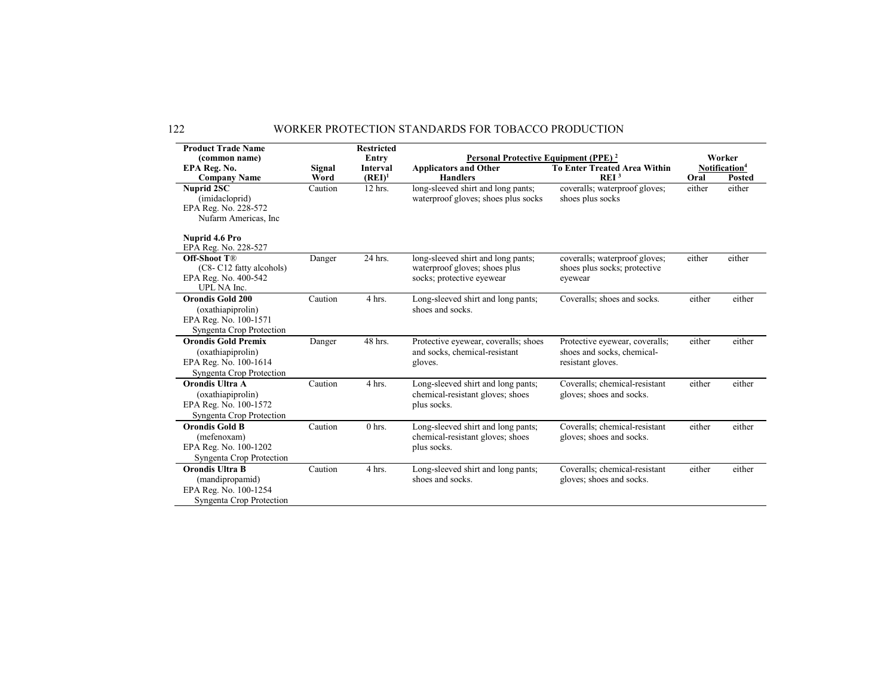| <b>Product Trade Name</b><br>(common name)                                                           |                | <b>Restricted</b><br>Entry   | Personal Protective Equipment (PPE) <sup>2</sup>                                                 |                                                                                   |        | Worker                                     |
|------------------------------------------------------------------------------------------------------|----------------|------------------------------|--------------------------------------------------------------------------------------------------|-----------------------------------------------------------------------------------|--------|--------------------------------------------|
| EPA Reg. No.<br><b>Company Name</b>                                                                  | Signal<br>Word | <b>Interval</b><br>$(REI)^1$ | <b>Applicators and Other</b><br><b>Handlers</b>                                                  | <b>To Enter Treated Area Within</b><br>REI <sup>3</sup>                           | Oral   | Notification <sup>4</sup><br><b>Posted</b> |
| Nuprid 2SC<br>(imidacloprid)<br>EPA Reg. No. 228-572<br>Nufarm Americas, Inc.                        | Caution        | 12 hrs.                      | long-sleeved shirt and long pants;<br>waterproof gloves; shoes plus socks                        | coveralls; waterproof gloves;<br>shoes plus socks                                 | either | either                                     |
| Nuprid 4.6 Pro<br>EPA Reg. No. 228-527                                                               |                |                              |                                                                                                  |                                                                                   |        |                                            |
| <b>Off-Shoot T®</b><br>(C8-C12 fatty alcohols)<br>EPA Reg. No. 400-542<br>UPL NA Inc.                | Danger         | 24 hrs.                      | long-sleeved shirt and long pants;<br>waterproof gloves; shoes plus<br>socks; protective eyewear | coveralls; waterproof gloves;<br>shoes plus socks; protective<br>eyewear          | either | either                                     |
| <b>Orondis Gold 200</b><br>(oxathiapiprolin)<br>EPA Reg. No. 100-1571<br>Syngenta Crop Protection    | Caution        | 4 hrs.                       | Long-sleeved shirt and long pants;<br>shoes and socks.                                           | Coveralls; shoes and socks.                                                       | either | either                                     |
| <b>Orondis Gold Premix</b><br>(oxathiapiprolin)<br>EPA Reg. No. 100-1614<br>Syngenta Crop Protection | Danger         | 48 hrs.                      | Protective eyewear, coveralls; shoes<br>and socks, chemical-resistant<br>gloves.                 | Protective eyewear, coveralls;<br>shoes and socks, chemical-<br>resistant gloves. | either | either                                     |
| Orondis Ultra A<br>(oxathiapiprolin)<br>EPA Reg. No. 100-1572<br>Syngenta Crop Protection            | Caution        | 4 hrs.                       | Long-sleeved shirt and long pants;<br>chemical-resistant gloves; shoes<br>plus socks.            | Coveralls; chemical-resistant<br>gloves; shoes and socks.                         | either | either                                     |
| <b>Orondis Gold B</b><br>(mefenoxam)<br>EPA Reg. No. 100-1202<br>Syngenta Crop Protection            | Caution        | $0$ hrs.                     | Long-sleeved shirt and long pants;<br>chemical-resistant gloves; shoes<br>plus socks.            | Coveralls; chemical-resistant<br>gloves; shoes and socks.                         | either | either                                     |
| <b>Orondis Ultra B</b><br>(mandipropamid)<br>EPA Reg. No. 100-1254<br>Syngenta Crop Protection       | Caution        | 4 hrs.                       | Long-sleeved shirt and long pants;<br>shoes and socks.                                           | Coveralls: chemical-resistant<br>gloves; shoes and socks.                         | either | either                                     |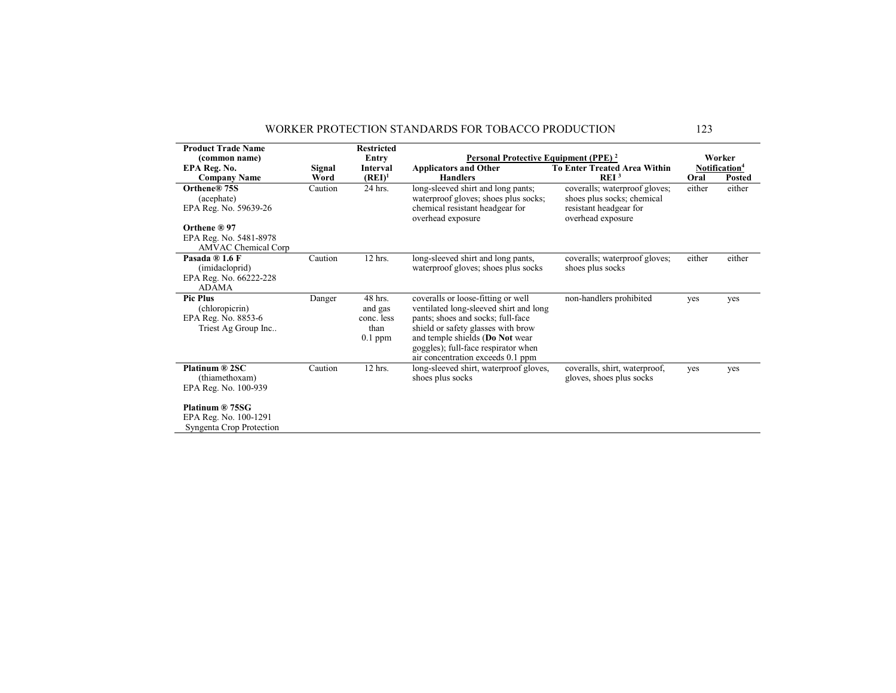| <b>Product Trade Name</b><br>(common name)<br>EPA Reg. No.                                           | Signal  | <b>Restricted</b><br>Entry<br><b>Interval</b>         | Personal Protective Equipment (PPE) <sup>2</sup><br><b>Applicators and Other</b>                                                                                                                                                                                       | <b>To Enter Treated Area Within</b>                                                                        |        | Worker<br>Notification <sup>4</sup> |
|------------------------------------------------------------------------------------------------------|---------|-------------------------------------------------------|------------------------------------------------------------------------------------------------------------------------------------------------------------------------------------------------------------------------------------------------------------------------|------------------------------------------------------------------------------------------------------------|--------|-------------------------------------|
| <b>Company Name</b>                                                                                  | Word    | $(REI)^1$                                             | <b>Handlers</b>                                                                                                                                                                                                                                                        | REI <sup>3</sup>                                                                                           | Oral   | <b>Posted</b>                       |
| Orthene® 75S<br>(acephate)<br>EPA Reg. No. 59639-26                                                  | Caution | 24 hrs.                                               | long-sleeved shirt and long pants;<br>waterproof gloves; shoes plus socks;<br>chemical resistant headgear for<br>overhead exposure                                                                                                                                     | coveralls; waterproof gloves;<br>shoes plus socks; chemical<br>resistant headgear for<br>overhead exposure | either | either                              |
| Orthene ® 97<br>EPA Reg. No. 5481-8978<br><b>AMVAC</b> Chemical Corp                                 |         |                                                       |                                                                                                                                                                                                                                                                        |                                                                                                            |        |                                     |
| Pasada ® 1.6 F<br>(imidacloprid)<br>EPA Reg. No. 66222-228<br><b>ADAMA</b>                           | Caution | 12 hrs.                                               | long-sleeved shirt and long pants,<br>waterproof gloves; shoes plus socks                                                                                                                                                                                              | coveralls; waterproof gloves;<br>shoes plus socks                                                          | either | either                              |
| <b>Pic Plus</b><br>(chloropicrin)<br>EPA Reg. No. 8853-6<br>Triest Ag Group Inc                      | Danger  | 48 hrs.<br>and gas<br>conc. less<br>than<br>$0.1$ ppm | coveralls or loose-fitting or well<br>ventilated long-sleeved shirt and long<br>pants; shoes and socks; full-face<br>shield or safety glasses with brow<br>and temple shields (Do Not wear<br>goggles); full-face respirator when<br>air concentration exceeds 0.1 ppm | non-handlers prohibited                                                                                    | yes    | yes                                 |
| Platinum ® 2SC<br>(thiamethoxam)<br>EPA Reg. No. 100-939<br>Platinum ® 75SG<br>EPA Reg. No. 100-1291 | Caution | 12 hrs.                                               | long-sleeved shirt, waterproof gloves,<br>shoes plus socks                                                                                                                                                                                                             | coveralls, shirt, waterproof,<br>gloves, shoes plus socks                                                  | yes    | yes                                 |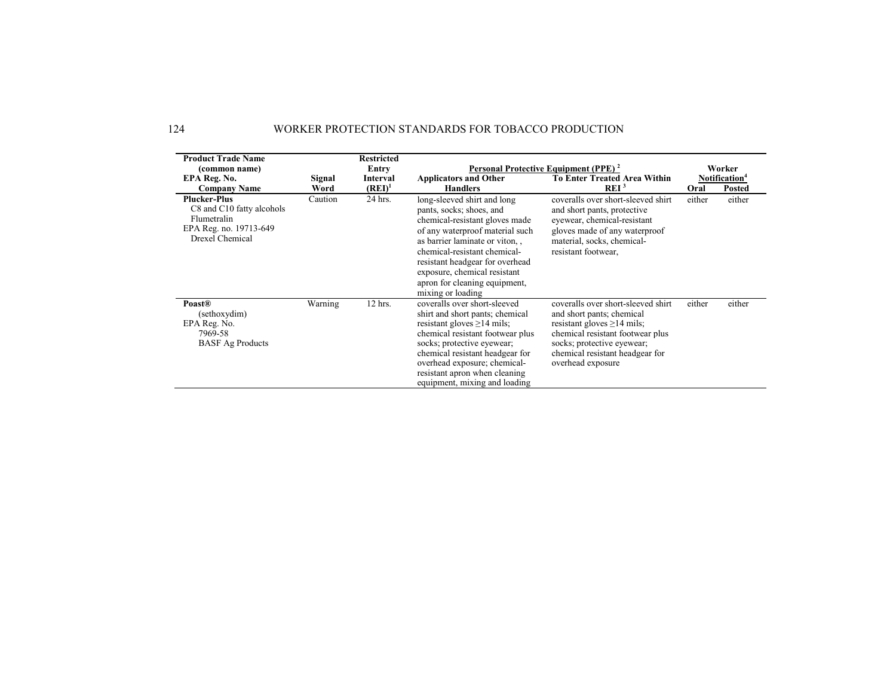| <b>Product Trade Name</b><br>(common name)<br>EPA Reg. No.                                                   | Signal  | <b>Restricted</b><br>Entry<br>Interval | <b>Applicators and Other</b>                                                                                                                                                                                                                                                                                            | Personal Protective Equipment (PPE) <sup>2</sup><br><b>To Enter Treated Area Within</b>                                                                                                                                       | Worker<br>Notification <sup>4</sup> |               |
|--------------------------------------------------------------------------------------------------------------|---------|----------------------------------------|-------------------------------------------------------------------------------------------------------------------------------------------------------------------------------------------------------------------------------------------------------------------------------------------------------------------------|-------------------------------------------------------------------------------------------------------------------------------------------------------------------------------------------------------------------------------|-------------------------------------|---------------|
| <b>Company Name</b>                                                                                          | Word    | $(REI)^1$                              | <b>Handlers</b>                                                                                                                                                                                                                                                                                                         | REI <sup>3</sup>                                                                                                                                                                                                              | Oral                                | <b>Posted</b> |
| <b>Plucker-Plus</b><br>C8 and C10 fatty alcohols<br>Flumetralin<br>EPA Reg. no. 19713-649<br>Drexel Chemical | Caution | 24 hrs.                                | long-sleeved shirt and long<br>pants, socks; shoes, and<br>chemical-resistant gloves made<br>of any waterproof material such<br>as barrier laminate or viton,,<br>chemical-resistant chemical-<br>resistant headgear for overhead<br>exposure, chemical resistant<br>apron for cleaning equipment,<br>mixing or loading | coveralls over short-sleeved shirt<br>and short pants, protective<br>eyewear, chemical-resistant<br>gloves made of any waterproof<br>material, socks, chemical-<br>resistant footwear,                                        | either                              | either        |
| <b>Poast®</b><br>(sethoxydim)<br>EPA Reg. No.<br>7969-58<br><b>BASF</b> Ag Products                          | Warning | 12 hrs.                                | coveralls over short-sleeved<br>shirt and short pants; chemical<br>resistant gloves $\geq$ 14 mils:<br>chemical resistant footwear plus<br>socks; protective eyewear;<br>chemical resistant headgear for<br>overhead exposure; chemical-<br>resistant apron when cleaning<br>equipment, mixing and loading              | coveralls over short-sleeved shirt<br>and short pants; chemical<br>resistant gloves $\geq$ 14 mils;<br>chemical resistant footwear plus<br>socks; protective eyewear;<br>chemical resistant headgear for<br>overhead exposure | either                              | either        |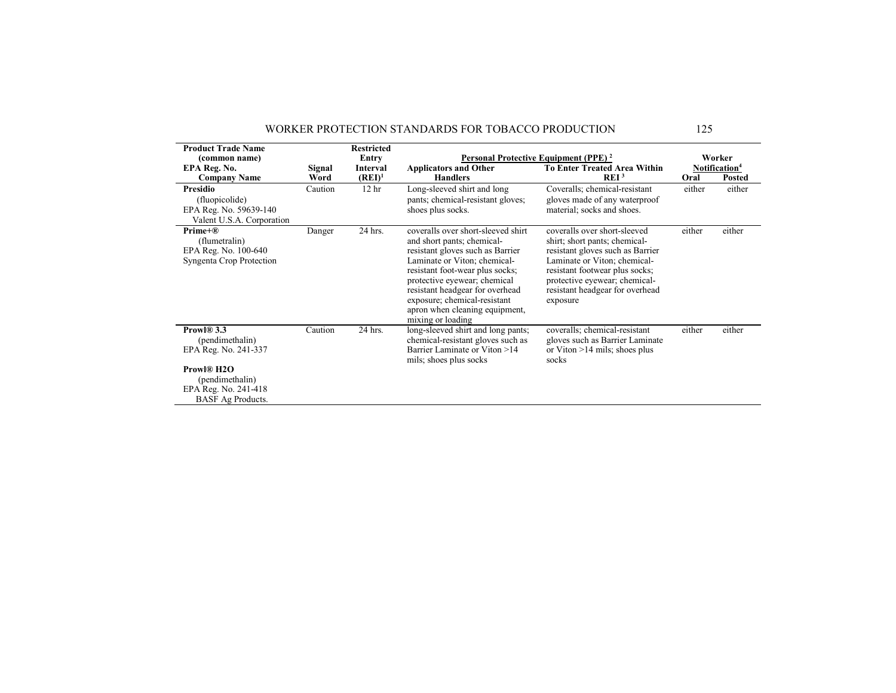| <b>Product Trade Name</b>                                                                                                                  |         | <b>Restricted</b> |                                                                                                                                                                                                                                                                                                                                   |                                                                                                                                                                                                                                                     |        |                           |
|--------------------------------------------------------------------------------------------------------------------------------------------|---------|-------------------|-----------------------------------------------------------------------------------------------------------------------------------------------------------------------------------------------------------------------------------------------------------------------------------------------------------------------------------|-----------------------------------------------------------------------------------------------------------------------------------------------------------------------------------------------------------------------------------------------------|--------|---------------------------|
| (common name)                                                                                                                              |         | Entry             |                                                                                                                                                                                                                                                                                                                                   | Personal Protective Equipment (PPE) <sup>2</sup>                                                                                                                                                                                                    |        | Worker                    |
| EPA Reg. No.                                                                                                                               | Signal  | Interval          | <b>Applicators and Other</b>                                                                                                                                                                                                                                                                                                      | <b>To Enter Treated Area Within</b>                                                                                                                                                                                                                 |        | Notification <sup>4</sup> |
| <b>Company Name</b>                                                                                                                        | Word    | $(REI)^1$         | <b>Handlers</b>                                                                                                                                                                                                                                                                                                                   | REI <sup>3</sup>                                                                                                                                                                                                                                    | Oral   | <b>Posted</b>             |
| <b>Presidio</b><br>(fluopicolide)<br>EPA Reg. No. 59639-140<br>Valent U.S.A. Corporation                                                   | Caution | 12 <sub>hr</sub>  | Long-sleeved shirt and long<br>pants; chemical-resistant gloves;<br>shoes plus socks.                                                                                                                                                                                                                                             | Coveralls; chemical-resistant<br>gloves made of any waterproof<br>material; socks and shoes.                                                                                                                                                        | either | either                    |
| $Prime+@$<br>(flumetralin)<br>EPA Reg. No. 100-640<br>Syngenta Crop Protection                                                             | Danger  | 24 hrs.           | coveralls over short-sleeved shirt<br>and short pants; chemical-<br>resistant gloves such as Barrier<br>Laminate or Viton; chemical-<br>resistant foot-wear plus socks;<br>protective eyewear; chemical<br>resistant headgear for overhead<br>exposure; chemical-resistant<br>apron when cleaning equipment,<br>mixing or loading | coveralls over short-sleeved<br>shirt; short pants; chemical-<br>resistant gloves such as Barrier<br>Laminate or Viton; chemical-<br>resistant footwear plus socks;<br>protective eyewear; chemical-<br>resistant headgear for overhead<br>exposure | either | either                    |
| Prowl® 3.3<br>(pendimethalin)<br>EPA Reg. No. 241-337<br>Prowl® H2O<br>(pendimethalin)<br>EPA Reg. No. 241-418<br><b>BASF</b> Ag Products. | Caution | 24 hrs.           | long-sleeved shirt and long pants;<br>chemical-resistant gloves such as<br>Barrier Laminate or Viton >14<br>mils; shoes plus socks                                                                                                                                                                                                | coveralls; chemical-resistant<br>gloves such as Barrier Laminate<br>or Viton $>14$ mils; shoes plus<br>socks                                                                                                                                        | either | either                    |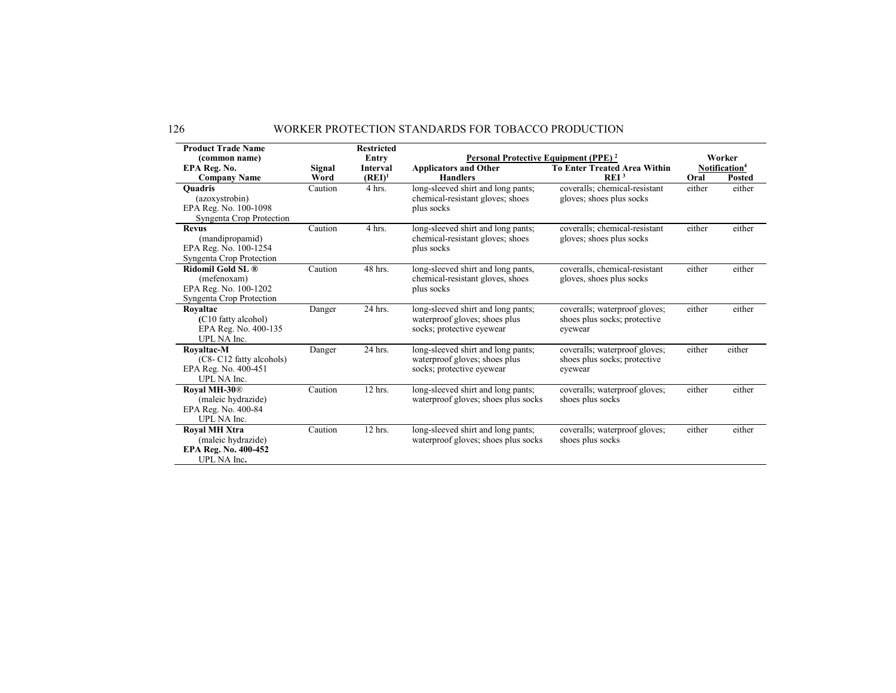| <b>Product Trade Name</b>       |         | <b>Restricted</b> |                                                  |                                     |        |                           |
|---------------------------------|---------|-------------------|--------------------------------------------------|-------------------------------------|--------|---------------------------|
| (common name)                   |         | Entry             | Personal Protective Equipment (PPE) <sup>2</sup> |                                     |        | Worker                    |
| EPA Reg. No.                    | Signal  | Interval          | <b>Applicators and Other</b>                     | <b>To Enter Treated Area Within</b> |        | Notification <sup>4</sup> |
| <b>Company Name</b>             | Word    | $(REI)^1$         | <b>Handlers</b>                                  | REI <sup>3</sup>                    | Oral   | Posted                    |
| <b>Ouadris</b>                  | Caution | 4 hrs.            | long-sleeved shirt and long pants;               | coveralls; chemical-resistant       | either | either                    |
| (azoxystrobin)                  |         |                   | chemical-resistant gloves; shoes                 | gloves; shoes plus socks            |        |                           |
| EPA Reg. No. 100-1098           |         |                   | plus socks                                       |                                     |        |                           |
| Syngenta Crop Protection        |         |                   |                                                  |                                     |        |                           |
| <b>Revus</b>                    | Caution | 4 hrs.            | long-sleeved shirt and long pants;               | coveralls; chemical-resistant       | either | either                    |
| (mandipropamid)                 |         |                   | chemical-resistant gloves; shoes                 | gloves; shoes plus socks            |        |                           |
| EPA Reg. No. 100-1254           |         |                   | plus socks                                       |                                     |        |                           |
| Syngenta Crop Protection        |         |                   |                                                  |                                     |        |                           |
| Ridomil Gold SL ®               | Caution | 48 hrs.           | long-sleeved shirt and long pants,               | coveralls, chemical-resistant       | either | either                    |
| (mefenoxam)                     |         |                   | chemical-resistant gloves, shoes                 | gloves, shoes plus socks            |        |                           |
| EPA Reg. No. 100-1202           |         |                   | plus socks                                       |                                     |        |                           |
| Syngenta Crop Protection        |         |                   |                                                  |                                     |        |                           |
| Rovaltac                        | Danger  | 24 hrs.           | long-sleeved shirt and long pants;               | coveralls; waterproof gloves;       | either | either                    |
| (C10 fatty alcohol)             |         |                   | waterproof gloves; shoes plus                    | shoes plus socks; protective        |        |                           |
| EPA Reg. No. 400-135            |         |                   | socks; protective eyewear                        | eyewear                             |        |                           |
| UPL NA Inc.                     |         |                   |                                                  |                                     |        |                           |
| Rovaltac-M                      | Danger  | 24 hrs.           | long-sleeved shirt and long pants;               | coveralls; waterproof gloves;       | either | either                    |
| (C8- C12 fatty alcohols)        |         |                   | waterproof gloves; shoes plus                    | shoes plus socks; protective        |        |                           |
| EPA Reg. No. 400-451            |         |                   | socks; protective eyewear                        | eyewear                             |        |                           |
| UPL NA Inc.                     |         |                   |                                                  |                                     |        |                           |
| <b>Royal MH-30</b> <sup>®</sup> | Caution | 12 hrs.           | long-sleeved shirt and long pants;               | coveralls; waterproof gloves;       | either | either                    |
| (maleic hydrazide)              |         |                   | waterproof gloves; shoes plus socks              | shoes plus socks                    |        |                           |
| EPA Reg. No. 400-84             |         |                   |                                                  |                                     |        |                           |
| UPL NA Inc.                     |         |                   |                                                  |                                     |        |                           |
| <b>Roval MH Xtra</b>            | Caution | 12 hrs.           | long-sleeved shirt and long pants;               | coveralls; waterproof gloves;       | either | either                    |
| (maleic hydrazide)              |         |                   | waterproof gloves; shoes plus socks              | shoes plus socks                    |        |                           |
| EPA Reg. No. 400-452            |         |                   |                                                  |                                     |        |                           |
| UPL NA Inc.                     |         |                   |                                                  |                                     |        |                           |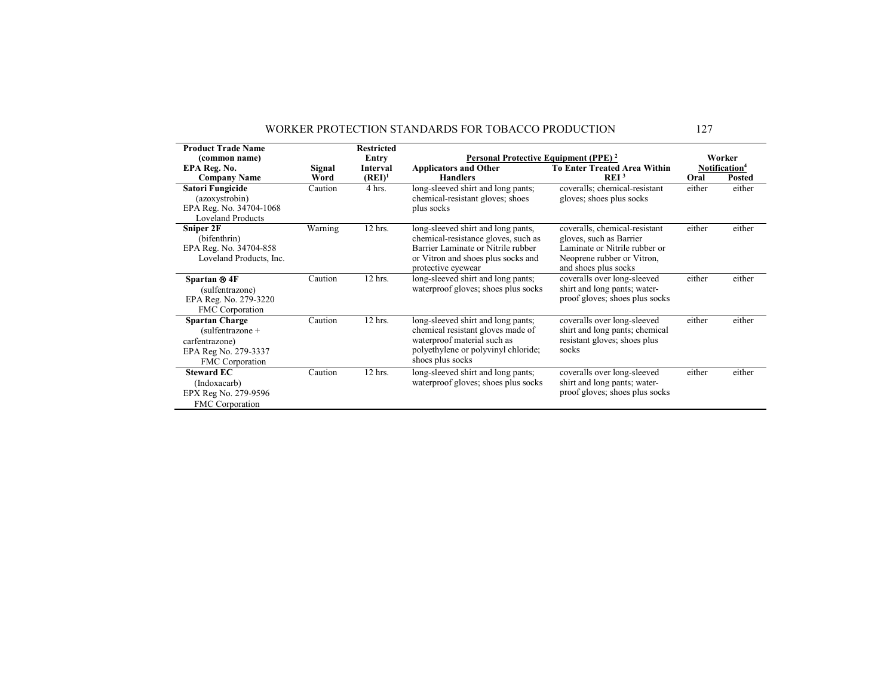| <b>Product Trade Name</b>                                                                                       |         | <b>Restricted</b> |                                                                                                                                                                             |                                                                                                                                                 |        |                           |
|-----------------------------------------------------------------------------------------------------------------|---------|-------------------|-----------------------------------------------------------------------------------------------------------------------------------------------------------------------------|-------------------------------------------------------------------------------------------------------------------------------------------------|--------|---------------------------|
| (common name)                                                                                                   |         | Entry             | Personal Protective Equipment (PPE) <sup>2</sup>                                                                                                                            |                                                                                                                                                 |        | Worker                    |
| EPA Reg. No.                                                                                                    | Signal  | <b>Interval</b>   | <b>Applicators and Other</b>                                                                                                                                                | <b>To Enter Treated Area Within</b>                                                                                                             |        | Notification <sup>4</sup> |
| <b>Company Name</b>                                                                                             | Word    | $(REI)^1$         | <b>Handlers</b>                                                                                                                                                             | REI <sup>3</sup>                                                                                                                                | Oral   | Posted                    |
| <b>Satori Fungicide</b><br>(azoxystrobin)<br>EPA Reg. No. 34704-1068<br><b>Loveland Products</b>                | Caution | 4 hrs.            | long-sleeved shirt and long pants;<br>chemical-resistant gloves; shoes<br>plus socks                                                                                        | coveralls; chemical-resistant<br>gloves; shoes plus socks                                                                                       | either | either                    |
| Sniper 2F<br>(bifenthrin)<br>EPA Reg. No. 34704-858<br>Loveland Products, Inc.                                  | Warning | 12 hrs.           | long-sleeved shirt and long pants,<br>chemical-resistance gloves, such as<br>Barrier Laminate or Nitrile rubber<br>or Vitron and shoes plus socks and<br>protective eyewear | coveralls, chemical-resistant<br>gloves, such as Barrier<br>Laminate or Nitrile rubber or<br>Neoprene rubber or Vitron,<br>and shoes plus socks | either | either                    |
| Spartan ® 4F<br>(sulfentrazone)<br>EPA Reg. No. 279-3220<br>FMC Corporation                                     | Caution | 12 hrs.           | long-sleeved shirt and long pants;<br>waterproof gloves; shoes plus socks                                                                                                   | coveralls over long-sleeved<br>shirt and long pants; water-<br>proof gloves; shoes plus socks                                                   | either | either                    |
| <b>Spartan Charge</b><br>$(sulfentrazone +$<br>carfentrazone)<br>EPA Reg No. 279-3337<br><b>FMC</b> Corporation | Caution | 12 hrs.           | long-sleeved shirt and long pants;<br>chemical resistant gloves made of<br>waterproof material such as<br>polyethylene or polyvinyl chloride;<br>shoes plus socks           | coveralls over long-sleeved<br>shirt and long pants; chemical<br>resistant gloves; shoes plus<br>socks                                          | either | either                    |
| <b>Steward EC</b><br>(Indoxacarb)<br>EPX Reg No. 279-9596<br><b>FMC</b> Corporation                             | Caution | 12 hrs.           | long-sleeved shirt and long pants;<br>waterproof gloves; shoes plus socks                                                                                                   | coveralls over long-sleeved<br>shirt and long pants; water-<br>proof gloves; shoes plus socks                                                   | either | either                    |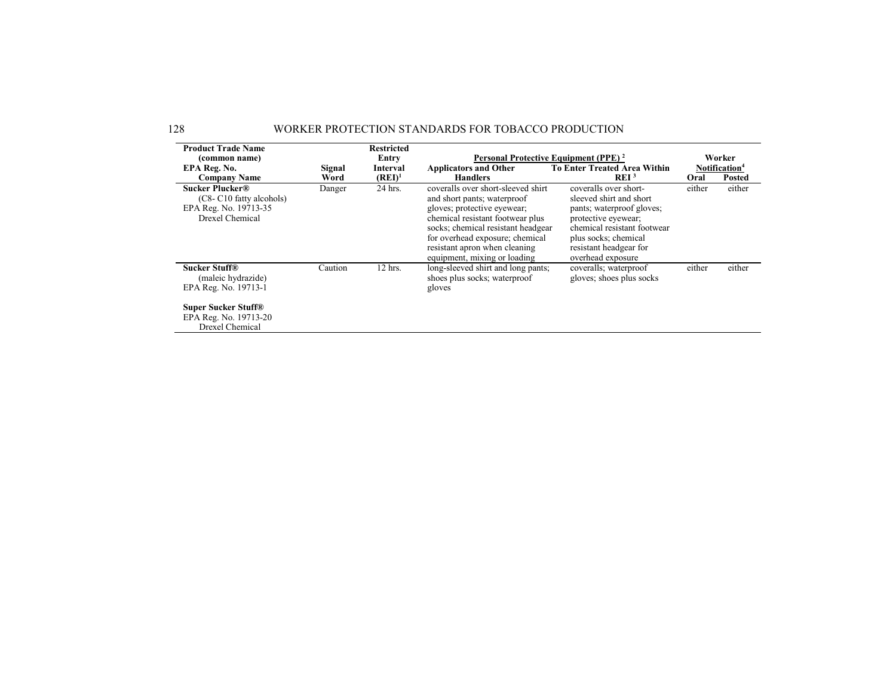| <b>Product Trade Name</b>                                                                                                                    |         | <b>Restricted</b> |                                                                                                                                                                                                                                                                                |                                                                                                                                                                                                            |        |                           |
|----------------------------------------------------------------------------------------------------------------------------------------------|---------|-------------------|--------------------------------------------------------------------------------------------------------------------------------------------------------------------------------------------------------------------------------------------------------------------------------|------------------------------------------------------------------------------------------------------------------------------------------------------------------------------------------------------------|--------|---------------------------|
| (common name)                                                                                                                                |         | Entry             | Personal Protective Equipment (PPE) <sup>2</sup>                                                                                                                                                                                                                               |                                                                                                                                                                                                            |        | Worker                    |
| EPA Reg. No.                                                                                                                                 | Signal  | Interval          | <b>Applicators and Other</b>                                                                                                                                                                                                                                                   | <b>To Enter Treated Area Within</b>                                                                                                                                                                        |        | Notification <sup>4</sup> |
| <b>Company Name</b>                                                                                                                          | Word    | $(REI)^1$         | <b>Handlers</b>                                                                                                                                                                                                                                                                | REI <sup>3</sup>                                                                                                                                                                                           | Oral   | <b>Posted</b>             |
| Sucker Plucker <sup>®</sup><br>(C8-C10 fatty alcohols)<br>EPA Reg. No. 19713-35<br>Drexel Chemical                                           | Danger  | 24 hrs.           | coveralls over short-sleeved shirt<br>and short pants; waterproof<br>gloves; protective eyewear;<br>chemical resistant footwear plus<br>socks; chemical resistant headgear<br>for overhead exposure; chemical<br>resistant apron when cleaning<br>equipment, mixing or loading | coveralls over short-<br>sleeved shirt and short<br>pants; waterproof gloves;<br>protective eyewear;<br>chemical resistant footwear<br>plus socks; chemical<br>resistant headgear for<br>overhead exposure | either | either                    |
| <b>Sucker Stuff®</b><br>(maleic hydrazide)<br>EPA Reg. No. 19713-1<br><b>Super Sucker Stuff®</b><br>EPA Reg. No. 19713-20<br>Drexel Chemical | Caution | 12 hrs.           | long-sleeved shirt and long pants;<br>shoes plus socks; waterproof<br>gloves                                                                                                                                                                                                   | coveralls; waterproof<br>gloves; shoes plus socks                                                                                                                                                          | either | either                    |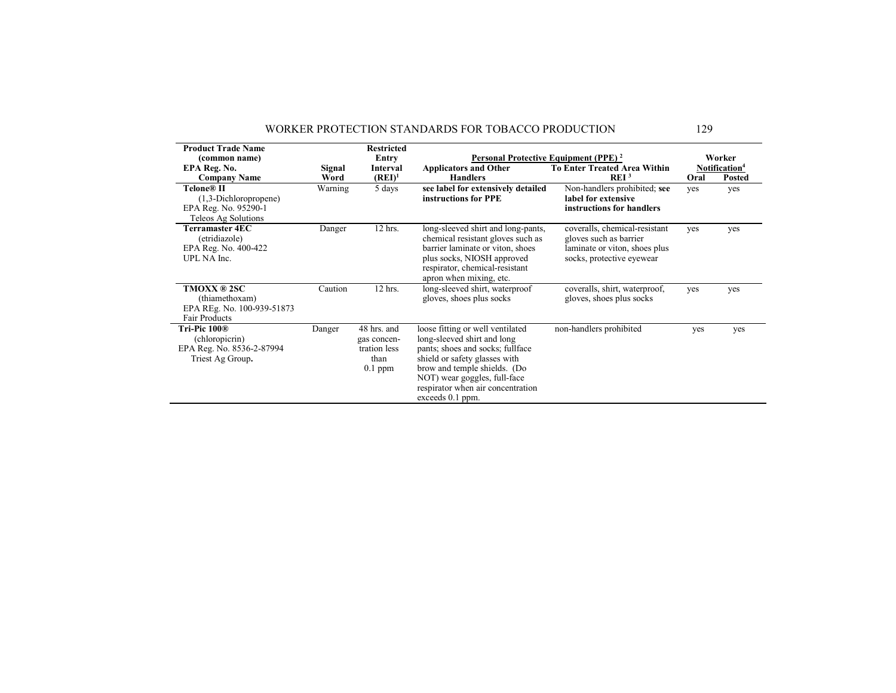| <b>Product Trade Name</b>                                                                   |         | <b>Restricted</b>                                               |                                                                                                                                                                                                                                                               |                                                                                                                       |      |                                     |
|---------------------------------------------------------------------------------------------|---------|-----------------------------------------------------------------|---------------------------------------------------------------------------------------------------------------------------------------------------------------------------------------------------------------------------------------------------------------|-----------------------------------------------------------------------------------------------------------------------|------|-------------------------------------|
| (common name)<br>EPA Reg. No.                                                               | Signal  | Entry<br>Interval                                               | <b>Applicators and Other</b>                                                                                                                                                                                                                                  | Personal Protective Equipment (PPE) <sup>2</sup><br><b>To Enter Treated Area Within</b>                               |      | Worker<br>Notification <sup>4</sup> |
| <b>Company Name</b>                                                                         | Word    | $(REI)^1$                                                       | <b>Handlers</b>                                                                                                                                                                                                                                               | REI <sup>3</sup>                                                                                                      | Oral | <b>Posted</b>                       |
| Telone® II<br>$(1,3-Dichloropropene)$<br>EPA Reg. No. 95290-1<br>Teleos Ag Solutions        | Warning | 5 days                                                          | see label for extensively detailed<br>instructions for PPE                                                                                                                                                                                                    | Non-handlers prohibited; see<br>label for extensive<br>instructions for handlers                                      | yes  | yes                                 |
| Terramaster 4EC<br>(etridiazole)<br>EPA Reg. No. 400-422<br>UPL NA Inc.                     | Danger  | 12 hrs.                                                         | long-sleeved shirt and long-pants,<br>chemical resistant gloves such as<br>barrier laminate or viton, shoes<br>plus socks, NIOSH approved<br>respirator, chemical-resistant<br>apron when mixing, etc.                                                        | coveralls, chemical-resistant<br>gloves such as barrier<br>laminate or viton, shoes plus<br>socks, protective eyewear | yes  | yes                                 |
| <b>TMOXX ® 2SC</b><br>(thiamethoxam)<br>EPA REg. No. 100-939-51873<br>Fair Products         | Caution | 12 hrs.                                                         | long-sleeved shirt, waterproof<br>gloves, shoes plus socks                                                                                                                                                                                                    | coveralls, shirt, waterproof,<br>gloves, shoes plus socks                                                             | yes  | yes                                 |
| Tri-Pic 100 <sup>®</sup><br>(chloropicrin)<br>EPA Reg. No. 8536-2-87994<br>Triest Ag Group. | Danger  | 48 hrs. and<br>gas concen-<br>tration less<br>than<br>$0.1$ ppm | loose fitting or well ventilated<br>long-sleeved shirt and long<br>pants; shoes and socks; fullface<br>shield or safety glasses with<br>brow and temple shields. (Do<br>NOT) wear goggles, full-face<br>respirator when air concentration<br>exceeds 0.1 ppm. | non-handlers prohibited                                                                                               | yes  | yes                                 |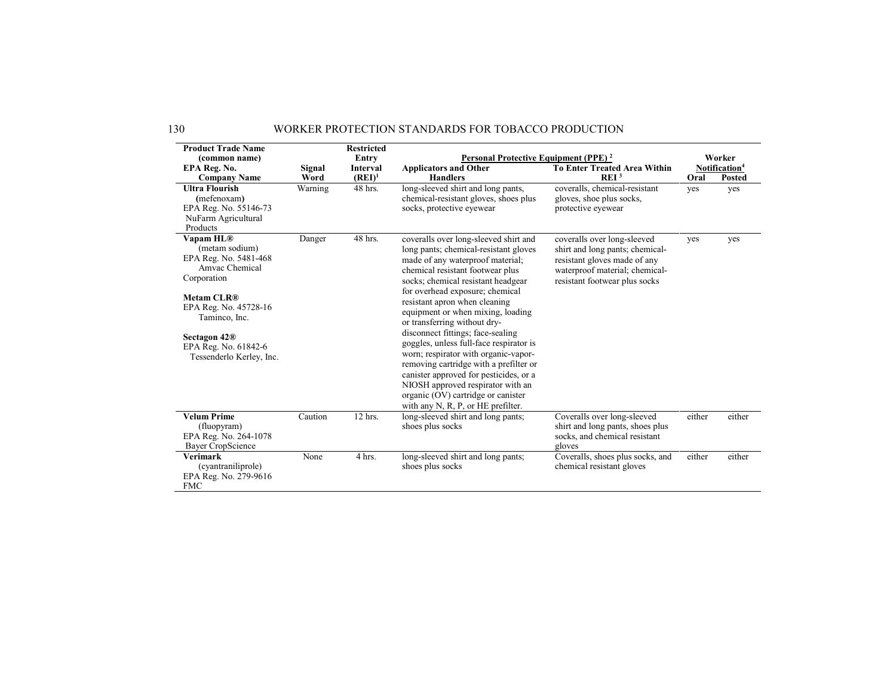| <b>Product Trade Name</b><br>(common name)                                                                                                                                                                                           |                | <b>Restricted</b><br>Entry   | Personal Protective Equipment (PPE) <sup>2</sup>                                                                                                                                                                                                                                                                                                                                                                                                                                                                                                                                                                                                                   |                                                                                                                                                                   |        | Worker                              |  |  |
|--------------------------------------------------------------------------------------------------------------------------------------------------------------------------------------------------------------------------------------|----------------|------------------------------|--------------------------------------------------------------------------------------------------------------------------------------------------------------------------------------------------------------------------------------------------------------------------------------------------------------------------------------------------------------------------------------------------------------------------------------------------------------------------------------------------------------------------------------------------------------------------------------------------------------------------------------------------------------------|-------------------------------------------------------------------------------------------------------------------------------------------------------------------|--------|-------------------------------------|--|--|
| EPA Reg. No.<br><b>Company Name</b>                                                                                                                                                                                                  | Signal<br>Word | <b>Interval</b><br>$(REI)^1$ | <b>Applicators and Other</b><br><b>Handlers</b>                                                                                                                                                                                                                                                                                                                                                                                                                                                                                                                                                                                                                    | <b>To Enter Treated Area Within</b><br>REI <sup>3</sup>                                                                                                           | Oral   | Notification <sup>4</sup><br>Posted |  |  |
| <b>Ultra Flourish</b><br>(mefenoxam)<br>EPA Reg. No. 55146-73<br>NuFarm Agricultural<br>Products                                                                                                                                     | Warning        | 48 hrs.                      | long-sleeved shirt and long pants,<br>chemical-resistant gloves, shoes plus<br>socks, protective eyewear                                                                                                                                                                                                                                                                                                                                                                                                                                                                                                                                                           | coveralls, chemical-resistant<br>gloves, shoe plus socks,<br>protective eyewear                                                                                   | yes    | yes                                 |  |  |
| Vapam HL®<br>(metam sodium)<br>EPA Reg. No. 5481-468<br>Amvac Chemical<br>Corporation<br><b>Metam CLR®</b><br>EPA Reg. No. 45728-16<br>Taminco, Inc.<br>Sectagon 42 <sup>®</sup><br>EPA Reg. No. 61842-6<br>Tessenderlo Kerley, Inc. | Danger         | 48 hrs.                      | coveralls over long-sleeved shirt and<br>long pants; chemical-resistant gloves<br>made of any waterproof material;<br>chemical resistant footwear plus<br>socks; chemical resistant headgear<br>for overhead exposure; chemical<br>resistant apron when cleaning<br>equipment or when mixing, loading<br>or transferring without dry-<br>disconnect fittings; face-sealing<br>goggles, unless full-face respirator is<br>worn; respirator with organic-vapor-<br>removing cartridge with a prefilter or<br>canister approved for pesticides, or a<br>NIOSH approved respirator with an<br>organic (OV) cartridge or canister<br>with any N, R, P, or HE prefilter. | coveralls over long-sleeved<br>shirt and long pants; chemical-<br>resistant gloves made of any<br>waterproof material; chemical-<br>resistant footwear plus socks | yes    | yes                                 |  |  |
| <b>Velum Prime</b><br>(fluopyram)<br>EPA Reg. No. 264-1078<br>Bayer CropScience                                                                                                                                                      | Caution        | 12 hrs.                      | long-sleeved shirt and long pants;<br>shoes plus socks                                                                                                                                                                                                                                                                                                                                                                                                                                                                                                                                                                                                             | Coveralls over long-sleeved<br>shirt and long pants, shoes plus<br>socks, and chemical resistant<br>gloves                                                        | either | either                              |  |  |
| <b>Verimark</b><br>(cyantraniliprole)<br>EPA Reg. No. 279-9616<br><b>FMC</b>                                                                                                                                                         | None           | 4 hrs.                       | long-sleeved shirt and long pants;<br>shoes plus socks                                                                                                                                                                                                                                                                                                                                                                                                                                                                                                                                                                                                             | Coveralls, shoes plus socks, and<br>chemical resistant gloves                                                                                                     | either | either                              |  |  |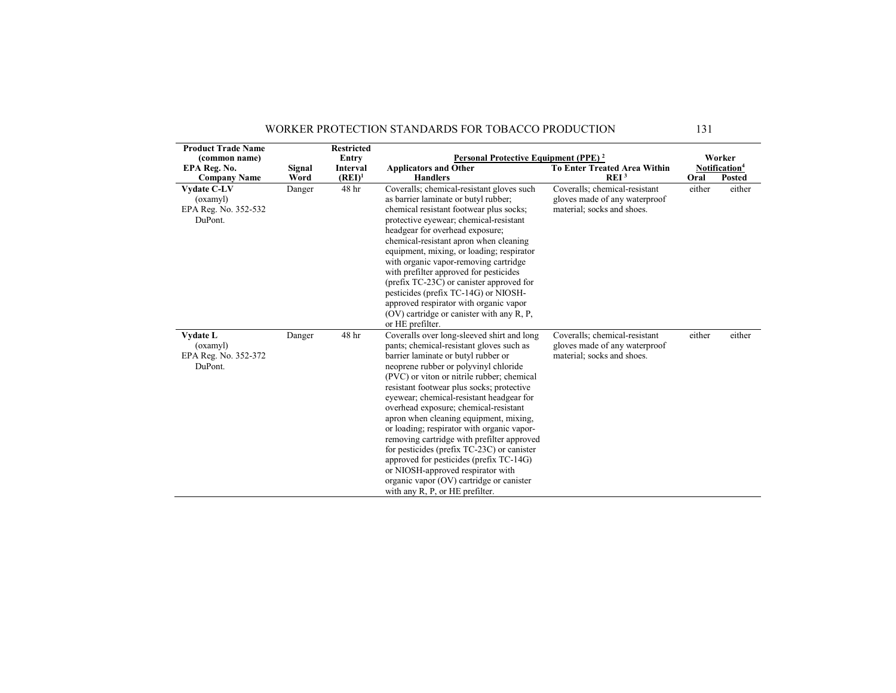| <b>Product Trade Name</b>                                      |        | <b>Restricted</b> |                                                                                                                                                                                                                                                                                                                                                                                                                                                                                                                                                                                                                                                                                                           |                                                                                              |        |                           |
|----------------------------------------------------------------|--------|-------------------|-----------------------------------------------------------------------------------------------------------------------------------------------------------------------------------------------------------------------------------------------------------------------------------------------------------------------------------------------------------------------------------------------------------------------------------------------------------------------------------------------------------------------------------------------------------------------------------------------------------------------------------------------------------------------------------------------------------|----------------------------------------------------------------------------------------------|--------|---------------------------|
| (common name)                                                  |        | Entry             | <b>Personal Protective Equipment (PPE)</b> <sup>2</sup>                                                                                                                                                                                                                                                                                                                                                                                                                                                                                                                                                                                                                                                   |                                                                                              |        | Worker                    |
| EPA Reg. No.                                                   | Signal | Interval          | <b>Applicators and Other</b>                                                                                                                                                                                                                                                                                                                                                                                                                                                                                                                                                                                                                                                                              | <b>To Enter Treated Area Within</b>                                                          |        | Notification <sup>4</sup> |
| <b>Company Name</b>                                            | Word   | $(REI)^1$         | <b>Handlers</b>                                                                                                                                                                                                                                                                                                                                                                                                                                                                                                                                                                                                                                                                                           | REI <sup>3</sup>                                                                             | Oral   | <b>Posted</b>             |
| Vydate C-LV<br>(oxamyl)<br>EPA Reg. No. 352-532<br>DuPont.     | Danger | 48 hr             | Coveralls; chemical-resistant gloves such<br>as barrier laminate or butyl rubber;<br>chemical resistant footwear plus socks;<br>protective eyewear; chemical-resistant<br>headgear for overhead exposure;<br>chemical-resistant apron when cleaning<br>equipment, mixing, or loading; respirator<br>with organic vapor-removing cartridge<br>with prefilter approved for pesticides<br>(prefix TC-23C) or canister approved for<br>pesticides (prefix TC-14G) or NIOSH-<br>approved respirator with organic vapor<br>$(OV)$ cartridge or canister with any R, P,<br>or HE prefilter.                                                                                                                      | Coveralls; chemical-resistant<br>gloves made of any waterproof<br>material; socks and shoes. | either | either                    |
| <b>Vydate L</b><br>(oxamyl)<br>EPA Reg. No. 352-372<br>DuPont. | Danger | 48 hr             | Coveralls over long-sleeved shirt and long<br>pants; chemical-resistant gloves such as<br>barrier laminate or butyl rubber or<br>neoprene rubber or polyvinyl chloride<br>(PVC) or viton or nitrile rubber; chemical<br>resistant footwear plus socks; protective<br>eyewear; chemical-resistant headgear for<br>overhead exposure; chemical-resistant<br>apron when cleaning equipment, mixing,<br>or loading; respirator with organic vapor-<br>removing cartridge with prefilter approved<br>for pesticides (prefix TC-23C) or canister<br>approved for pesticides (prefix TC-14G)<br>or NIOSH-approved respirator with<br>organic vapor (OV) cartridge or canister<br>with any R, P, or HE prefilter. | Coveralls; chemical-resistant<br>gloves made of any waterproof<br>material; socks and shoes. | either | either                    |